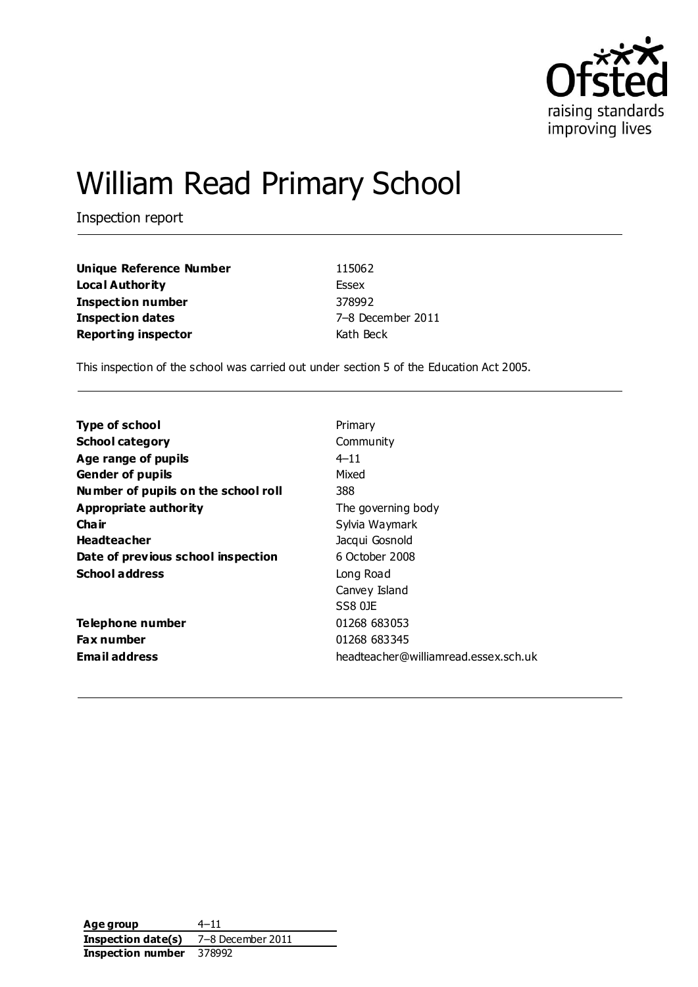

# William Read Primary School

Inspection report

| Unique Reference Number    | 115062            |
|----------------------------|-------------------|
| Loca l Authority           | Essex             |
| Inspection number          | 378992            |
| Inspection dates           | 7-8 December 2011 |
| <b>Reporting inspector</b> | Kath Beck         |

This inspection of the school was carried out under section 5 of the Education Act 2005.

| <b>Type of school</b>               | Primary                              |
|-------------------------------------|--------------------------------------|
| <b>School category</b>              | Community                            |
| Age range of pupils                 | $4 - 11$                             |
| <b>Gender of pupils</b>             | Mixed                                |
| Number of pupils on the school roll | 388                                  |
| Appropriate authority               | The governing body                   |
| Cha ir                              | Sylvia Waymark                       |
| <b>Headteacher</b>                  | Jacqui Gosnold                       |
| Date of previous school inspection  | 6 October 2008                       |
| <b>School address</b>               | Long Road                            |
|                                     | Canvey Island                        |
|                                     | SS8 0JF                              |
| Telephone number                    | 01268 683053                         |
| <b>Fax number</b>                   | 01268 683345                         |
| <b>Email address</b>                | headteacher@williamread.essex.sch.uk |

**Age group** 4–11 **Inspection date(s)** 7–8 December 2011 **Inspection number** 378992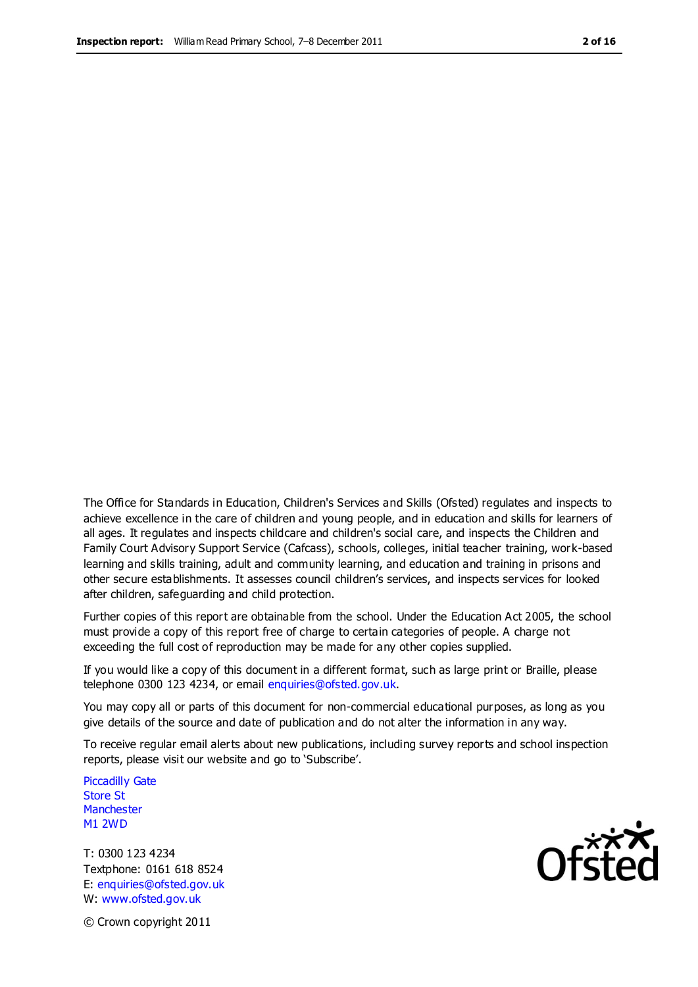The Office for Standards in Education, Children's Services and Skills (Ofsted) regulates and inspects to achieve excellence in the care of children and young people, and in education and skills for learners of all ages. It regulates and inspects childcare and children's social care, and inspects the Children and Family Court Advisory Support Service (Cafcass), schools, colleges, initial teacher training, work-based learning and skills training, adult and community learning, and education and training in prisons and other secure establishments. It assesses council children's services, and inspects services for looked after children, safeguarding and child protection.

Further copies of this report are obtainable from the school. Under the Education Act 2005, the school must provide a copy of this report free of charge to certain categories of people. A charge not exceeding the full cost of reproduction may be made for any other copies supplied.

If you would like a copy of this document in a different format, such as large print or Braille, please telephone 0300 123 4234, or email enquiries@ofsted.gov.uk.

You may copy all or parts of this document for non-commercial educational purposes, as long as you give details of the source and date of publication and do not alter the information in any way.

To receive regular email alerts about new publications, including survey reports and school inspection reports, please visit our website and go to 'Subscribe'.

Piccadilly Gate Store St **Manchester** M1 2WD

T: 0300 123 4234 Textphone: 0161 618 8524 E: enquiries@ofsted.gov.uk W: www.ofsted.gov.uk

**Ofsted** 

© Crown copyright 2011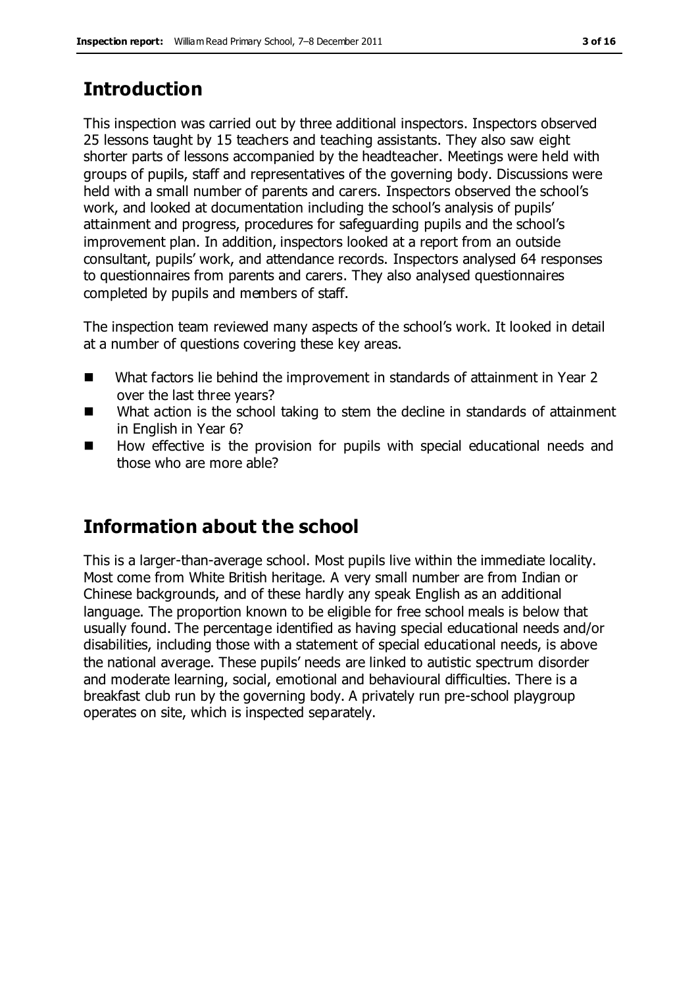# **Introduction**

This inspection was carried out by three additional inspectors. Inspectors observed 25 lessons taught by 15 teachers and teaching assistants. They also saw eight shorter parts of lessons accompanied by the headteacher. Meetings were held with groups of pupils, staff and representatives of the governing body. Discussions were held with a small number of parents and carers. Inspectors observed the school's work, and looked at documentation including the school's analysis of pupils' attainment and progress, procedures for safeguarding pupils and the school's improvement plan. In addition, inspectors looked at a report from an outside consultant, pupils' work, and attendance records. Inspectors analysed 64 responses to questionnaires from parents and carers. They also analysed questionnaires completed by pupils and members of staff.

The inspection team reviewed many aspects of the school's work. It looked in detail at a number of questions covering these key areas.

- What factors lie behind the improvement in standards of attainment in Year 2 over the last three years?
- What action is the school taking to stem the decline in standards of attainment in English in Year 6?
- How effective is the provision for pupils with special educational needs and those who are more able?

# **Information about the school**

This is a larger-than-average school. Most pupils live within the immediate locality. Most come from White British heritage. A very small number are from Indian or Chinese backgrounds, and of these hardly any speak English as an additional language. The proportion known to be eligible for free school meals is below that usually found. The percentage identified as having special educational needs and/or disabilities, including those with a statement of special educational needs, is above the national average. These pupils' needs are linked to autistic spectrum disorder and moderate learning, social, emotional and behavioural difficulties. There is a breakfast club run by the governing body. A privately run pre-school playgroup operates on site, which is inspected separately.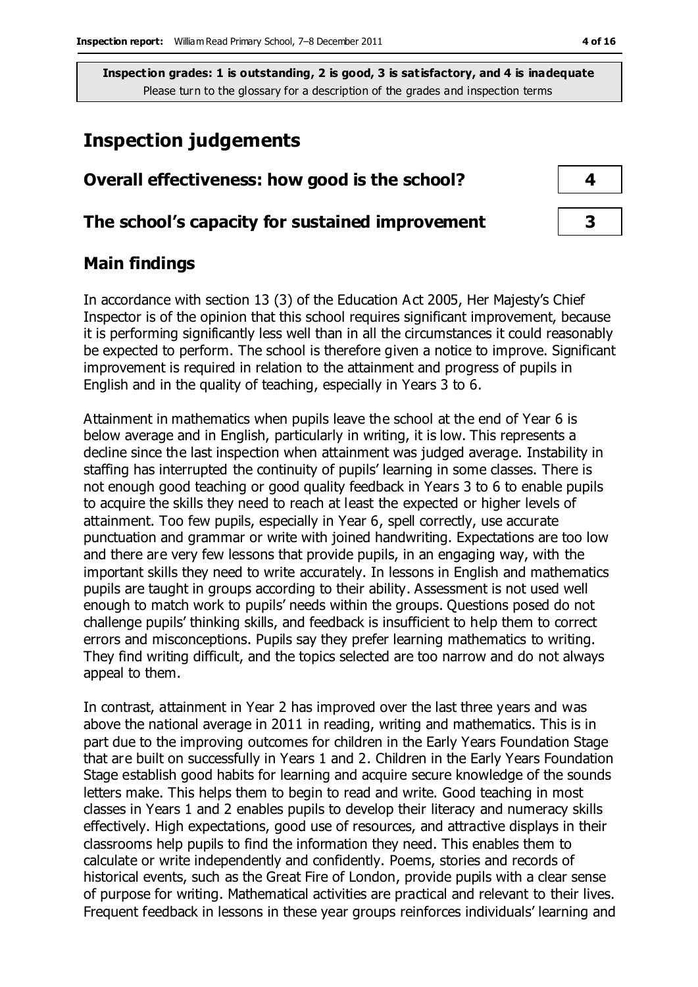## **Inspection judgements**

| Overall effectiveness: how good is the school?  |  |
|-------------------------------------------------|--|
| The school's capacity for sustained improvement |  |

#### **Main findings**

In accordance with section 13 (3) of the Education Act 2005, Her Majesty's Chief Inspector is of the opinion that this school requires significant improvement, because it is performing significantly less well than in all the circumstances it could reasonably be expected to perform. The school is therefore given a notice to improve. Significant improvement is required in relation to the attainment and progress of pupils in English and in the quality of teaching, especially in Years 3 to 6.

Attainment in mathematics when pupils leave the school at the end of Year 6 is below average and in English, particularly in writing, it is low. This represents a decline since the last inspection when attainment was judged average. Instability in staffing has interrupted the continuity of pupils' learning in some classes. There is not enough good teaching or good quality feedback in Years 3 to 6 to enable pupils to acquire the skills they need to reach at least the expected or higher levels of attainment. Too few pupils, especially in Year 6, spell correctly, use accurate punctuation and grammar or write with joined handwriting. Expectations are too low and there are very few lessons that provide pupils, in an engaging way, with the important skills they need to write accurately. In lessons in English and mathematics pupils are taught in groups according to their ability. Assessment is not used well enough to match work to pupils' needs within the groups. Questions posed do not challenge pupils' thinking skills, and feedback is insufficient to help them to correct errors and misconceptions. Pupils say they prefer learning mathematics to writing. They find writing difficult, and the topics selected are too narrow and do not always appeal to them.

In contrast, attainment in Year 2 has improved over the last three years and was above the national average in 2011 in reading, writing and mathematics. This is in part due to the improving outcomes for children in the Early Years Foundation Stage that are built on successfully in Years 1 and 2. Children in the Early Years Foundation Stage establish good habits for learning and acquire secure knowledge of the sounds letters make. This helps them to begin to read and write. Good teaching in most classes in Years 1 and 2 enables pupils to develop their literacy and numeracy skills effectively. High expectations, good use of resources, and attractive displays in their classrooms help pupils to find the information they need. This enables them to calculate or write independently and confidently. Poems, stories and records of historical events, such as the Great Fire of London, provide pupils with a clear sense of purpose for writing. Mathematical activities are practical and relevant to their lives. Frequent feedback in lessons in these year groups reinforces individuals' learning and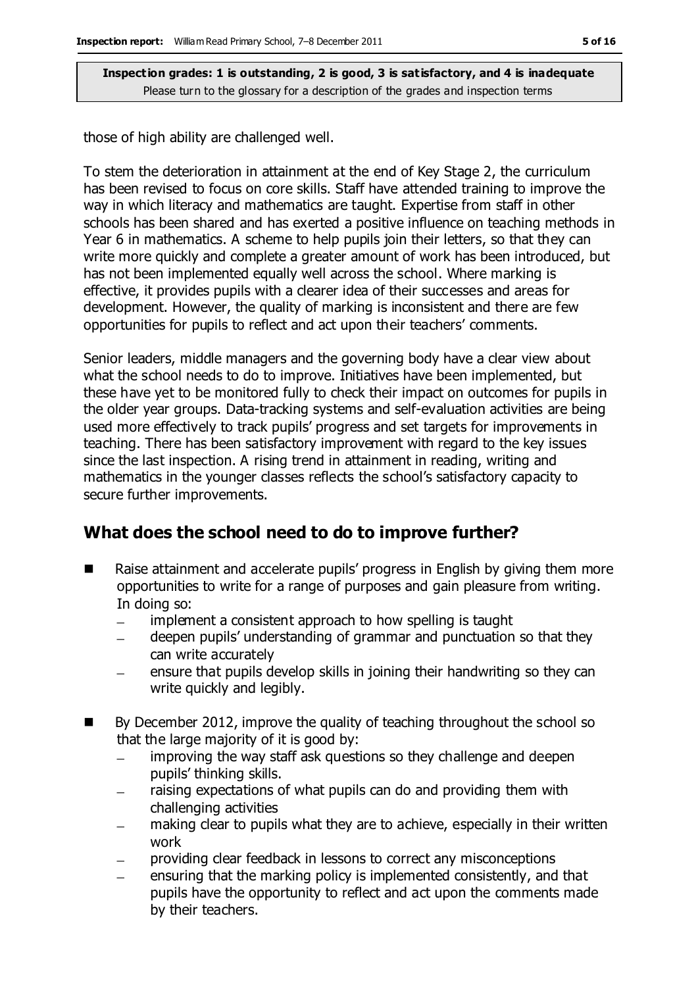those of high ability are challenged well.

To stem the deterioration in attainment at the end of Key Stage 2, the curriculum has been revised to focus on core skills. Staff have attended training to improve the way in which literacy and mathematics are taught. Expertise from staff in other schools has been shared and has exerted a positive influence on teaching methods in Year 6 in mathematics. A scheme to help pupils join their letters, so that they can write more quickly and complete a greater amount of work has been introduced, but has not been implemented equally well across the school. Where marking is effective, it provides pupils with a clearer idea of their successes and areas for development. However, the quality of marking is inconsistent and there are few opportunities for pupils to reflect and act upon their teachers' comments.

Senior leaders, middle managers and the governing body have a clear view about what the school needs to do to improve. Initiatives have been implemented, but these have yet to be monitored fully to check their impact on outcomes for pupils in the older year groups. Data-tracking systems and self-evaluation activities are being used more effectively to track pupils' progress and set targets for improvements in teaching. There has been satisfactory improvement with regard to the key issues since the last inspection. A rising trend in attainment in reading, writing and mathematics in the younger classes reflects the school's satisfactory capacity to secure further improvements.

### **What does the school need to do to improve further?**

- Raise attainment and accelerate pupils' progress in English by giving them more opportunities to write for a range of purposes and gain pleasure from writing. In doing so:
	- implement a consistent approach to how spelling is taught  $\equiv$
	- deepen pupils' understanding of grammar and punctuation so that they can write accurately
	- ensure that pupils develop skills in joining their handwriting so they can write quickly and legibly.
- By December 2012, improve the quality of teaching throughout the school so that the large majority of it is good by:
	- improving the way staff ask questions so they challenge and deepen pupils' thinking skills.
	- raising expectations of what pupils can do and providing them with  $\equiv$ challenging activities
	- making clear to pupils what they are to achieve, especially in their written work
	- providing clear feedback in lessons to correct any misconceptions
	- ensuring that the marking policy is implemented consistently, and that pupils have the opportunity to reflect and act upon the comments made by their teachers.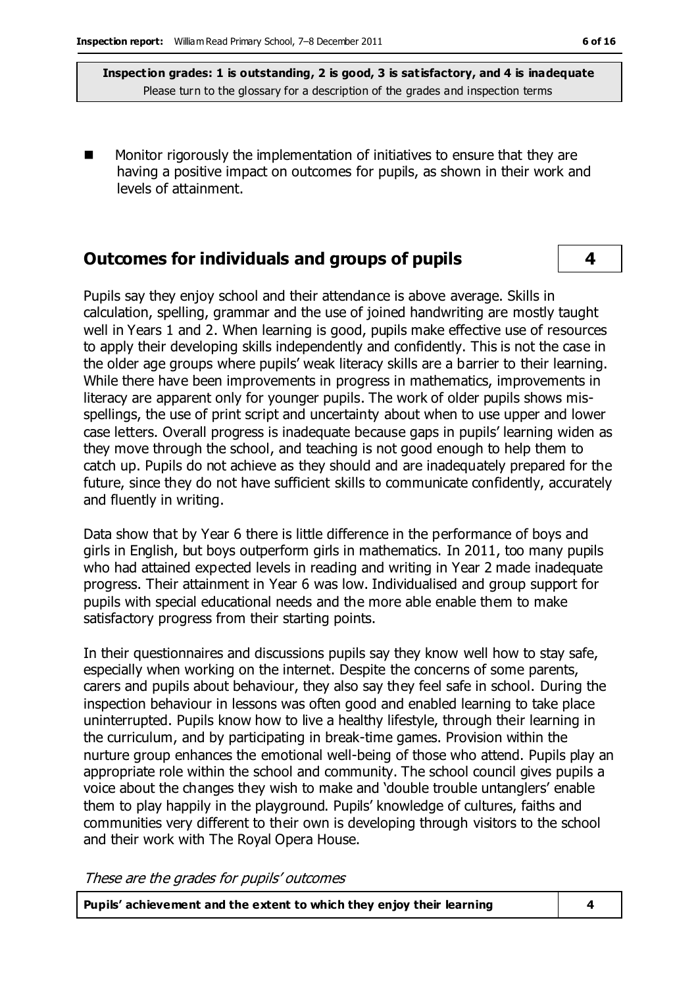Monitor rigorously the implementation of initiatives to ensure that they are having a positive impact on outcomes for pupils, as shown in their work and levels of attainment.

#### **Outcomes for individuals and groups of pupils 4**

Pupils say they enjoy school and their attendance is above average. Skills in calculation, spelling, grammar and the use of joined handwriting are mostly taught well in Years 1 and 2. When learning is good, pupils make effective use of resources to apply their developing skills independently and confidently. This is not the case in the older age groups where pupils' weak literacy skills are a barrier to their learning. While there have been improvements in progress in mathematics, improvements in literacy are apparent only for younger pupils. The work of older pupils shows misspellings, the use of print script and uncertainty about when to use upper and lower case letters. Overall progress is inadequate because gaps in pupils' learning widen as they move through the school, and teaching is not good enough to help them to catch up. Pupils do not achieve as they should and are inadequately prepared for the future, since they do not have sufficient skills to communicate confidently, accurately and fluently in writing.

Data show that by Year 6 there is little difference in the performance of boys and girls in English, but boys outperform girls in mathematics. In 2011, too many pupils who had attained expected levels in reading and writing in Year 2 made inadequate progress. Their attainment in Year 6 was low. Individualised and group support for pupils with special educational needs and the more able enable them to make satisfactory progress from their starting points.

In their questionnaires and discussions pupils say they know well how to stay safe, especially when working on the internet. Despite the concerns of some parents, carers and pupils about behaviour, they also say they feel safe in school. During the inspection behaviour in lessons was often good and enabled learning to take place uninterrupted. Pupils know how to live a healthy lifestyle, through their learning in the curriculum, and by participating in break-time games. Provision within the nurture group enhances the emotional well-being of those who attend. Pupils play an appropriate role within the school and community. The school council gives pupils a voice about the changes they wish to make and 'double trouble untanglers' enable them to play happily in the playground. Pupils' knowledge of cultures, faiths and communities very different to their own is developing through visitors to the school and their work with The Royal Opera House.

These are the grades for pupils' outcomes

**Pupils' achievement and the extent to which they enjoy their learning 4**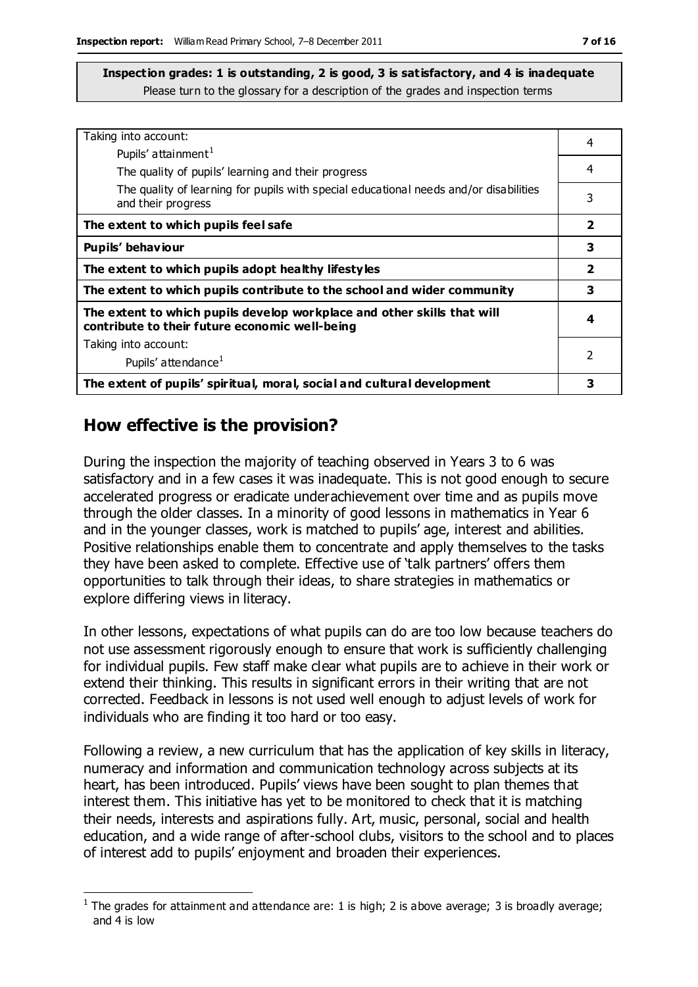| Taking into account:                                                                                                      | 4                       |
|---------------------------------------------------------------------------------------------------------------------------|-------------------------|
| Pupils' attainment <sup>1</sup>                                                                                           |                         |
| The quality of pupils' learning and their progress                                                                        | 4                       |
| The quality of learning for pupils with special educational needs and/or disabilities<br>and their progress               | 3                       |
| The extent to which pupils feel safe                                                                                      | $\overline{\mathbf{2}}$ |
| Pupils' behaviour                                                                                                         | 3                       |
| The extent to which pupils adopt healthy lifestyles                                                                       | $\overline{\mathbf{2}}$ |
| The extent to which pupils contribute to the school and wider community                                                   | 3                       |
| The extent to which pupils develop workplace and other skills that will<br>contribute to their future economic well-being | 4                       |
| Taking into account:                                                                                                      |                         |
| Pupils' attendance <sup>1</sup>                                                                                           | $\mathcal{P}$           |
| The extent of pupils' spiritual, moral, social and cultural development                                                   | 3                       |

#### **How effective is the provision?**

 $\overline{a}$ 

During the inspection the majority of teaching observed in Years 3 to 6 was satisfactory and in a few cases it was inadequate. This is not good enough to secure accelerated progress or eradicate underachievement over time and as pupils move through the older classes. In a minority of good lessons in mathematics in Year 6 and in the younger classes, work is matched to pupils' age, interest and abilities. Positive relationships enable them to concentrate and apply themselves to the tasks they have been asked to complete. Effective use of 'talk partners' offers them opportunities to talk through their ideas, to share strategies in mathematics or explore differing views in literacy.

In other lessons, expectations of what pupils can do are too low because teachers do not use assessment rigorously enough to ensure that work is sufficiently challenging for individual pupils. Few staff make clear what pupils are to achieve in their work or extend their thinking. This results in significant errors in their writing that are not corrected. Feedback in lessons is not used well enough to adjust levels of work for individuals who are finding it too hard or too easy.

Following a review, a new curriculum that has the application of key skills in literacy, numeracy and information and communication technology across subjects at its heart, has been introduced. Pupils' views have been sought to plan themes that interest them. This initiative has yet to be monitored to check that it is matching their needs, interests and aspirations fully. Art, music, personal, social and health education, and a wide range of after-school clubs, visitors to the school and to places of interest add to pupils' enjoyment and broaden their experiences.

<sup>&</sup>lt;sup>1</sup> The grades for attainment and attendance are: 1 is high; 2 is above average; 3 is broadly average; and 4 is low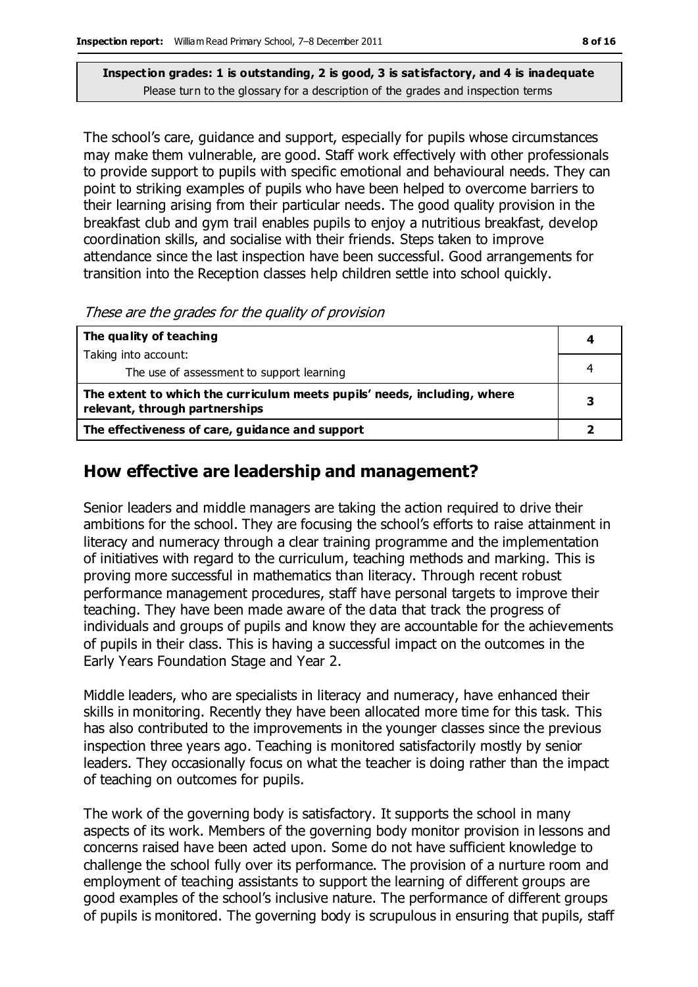The school's care, guidance and support, especially for pupils whose circumstances may make them vulnerable, are good. Staff work effectively with other professionals to provide support to pupils with specific emotional and behavioural needs. They can point to striking examples of pupils who have been helped to overcome barriers to their learning arising from their particular needs. The good quality provision in the breakfast club and gym trail enables pupils to enjoy a nutritious breakfast, develop coordination skills, and socialise with their friends. Steps taken to improve attendance since the last inspection have been successful. Good arrangements for transition into the Reception classes help children settle into school quickly.

These are the grades for the quality of provision

| The quality of teaching                                                                                    |   |
|------------------------------------------------------------------------------------------------------------|---|
| Taking into account:                                                                                       |   |
| The use of assessment to support learning                                                                  |   |
| The extent to which the curriculum meets pupils' needs, including, where<br>relevant, through partnerships | з |
| The effectiveness of care, guidance and support                                                            |   |

#### **How effective are leadership and management?**

Senior leaders and middle managers are taking the action required to drive their ambitions for the school. They are focusing the school's efforts to raise attainment in literacy and numeracy through a clear training programme and the implementation of initiatives with regard to the curriculum, teaching methods and marking. This is proving more successful in mathematics than literacy. Through recent robust performance management procedures, staff have personal targets to improve their teaching. They have been made aware of the data that track the progress of individuals and groups of pupils and know they are accountable for the achievements of pupils in their class. This is having a successful impact on the outcomes in the Early Years Foundation Stage and Year 2.

Middle leaders, who are specialists in literacy and numeracy, have enhanced their skills in monitoring. Recently they have been allocated more time for this task. This has also contributed to the improvements in the younger classes since the previous inspection three years ago. Teaching is monitored satisfactorily mostly by senior leaders. They occasionally focus on what the teacher is doing rather than the impact of teaching on outcomes for pupils.

The work of the governing body is satisfactory. It supports the school in many aspects of its work. Members of the governing body monitor provision in lessons and concerns raised have been acted upon. Some do not have sufficient knowledge to challenge the school fully over its performance. The provision of a nurture room and employment of teaching assistants to support the learning of different groups are good examples of the school's inclusive nature. The performance of different groups of pupils is monitored. The governing body is scrupulous in ensuring that pupils, staff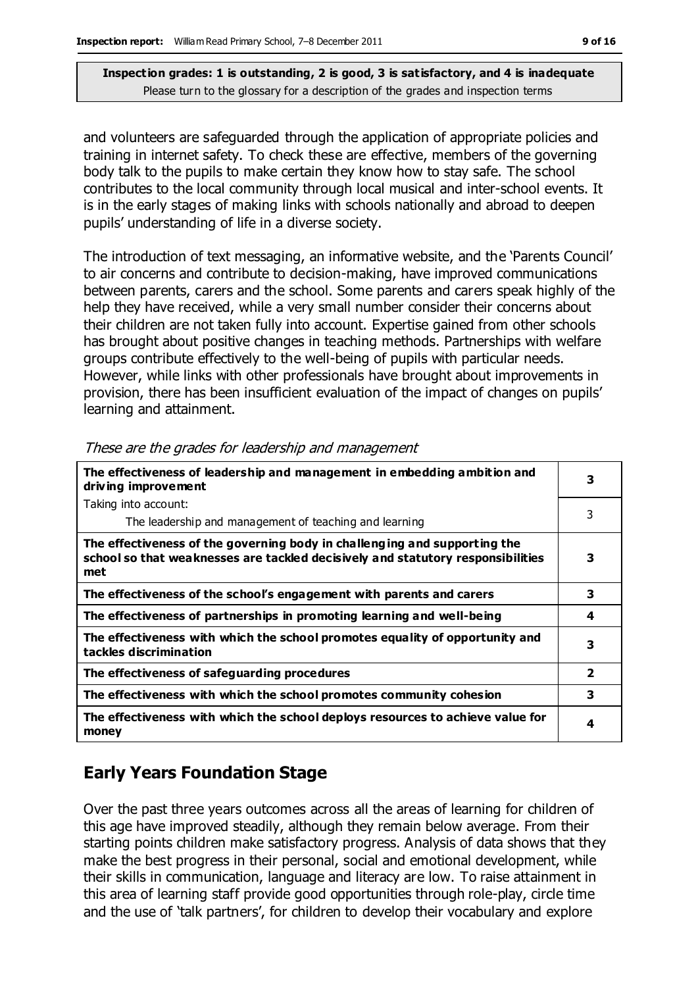and volunteers are safeguarded through the application of appropriate policies and training in internet safety. To check these are effective, members of the governing body talk to the pupils to make certain they know how to stay safe. The school contributes to the local community through local musical and inter-school events. It is in the early stages of making links with schools nationally and abroad to deepen pupils' understanding of life in a diverse society.

The introduction of text messaging, an informative website, and the 'Parents Council' to air concerns and contribute to decision-making, have improved communications between parents, carers and the school. Some parents and carers speak highly of the help they have received, while a very small number consider their concerns about their children are not taken fully into account. Expertise gained from other schools has brought about positive changes in teaching methods. Partnerships with welfare groups contribute effectively to the well-being of pupils with particular needs. However, while links with other professionals have brought about improvements in provision, there has been insufficient evaluation of the impact of changes on pupils' learning and attainment.

| The effectiveness of leadership and management in embedding ambition and<br>driving improvement                                                                     | 3                       |
|---------------------------------------------------------------------------------------------------------------------------------------------------------------------|-------------------------|
| Taking into account:                                                                                                                                                |                         |
| The leadership and management of teaching and learning                                                                                                              | 3                       |
| The effectiveness of the governing body in challenging and supporting the<br>school so that weaknesses are tackled decisively and statutory responsibilities<br>met | 3                       |
| The effectiveness of the school's engagement with parents and carers                                                                                                | 3                       |
| The effectiveness of partnerships in promoting learning and well-being                                                                                              | 4                       |
| The effectiveness with which the school promotes equality of opportunity and<br>tackles discrimination                                                              | 3                       |
| The effectiveness of safeguarding procedures                                                                                                                        | $\overline{\mathbf{2}}$ |
| The effectiveness with which the school promotes community cohesion                                                                                                 | 3                       |
| The effectiveness with which the school deploys resources to achieve value for<br>money                                                                             | 4                       |

These are the grades for leadership and management

# **Early Years Foundation Stage**

Over the past three years outcomes across all the areas of learning for children of this age have improved steadily, although they remain below average. From their starting points children make satisfactory progress. Analysis of data shows that they make the best progress in their personal, social and emotional development, while their skills in communication, language and literacy are low. To raise attainment in this area of learning staff provide good opportunities through role-play, circle time and the use of 'talk partners', for children to develop their vocabulary and explore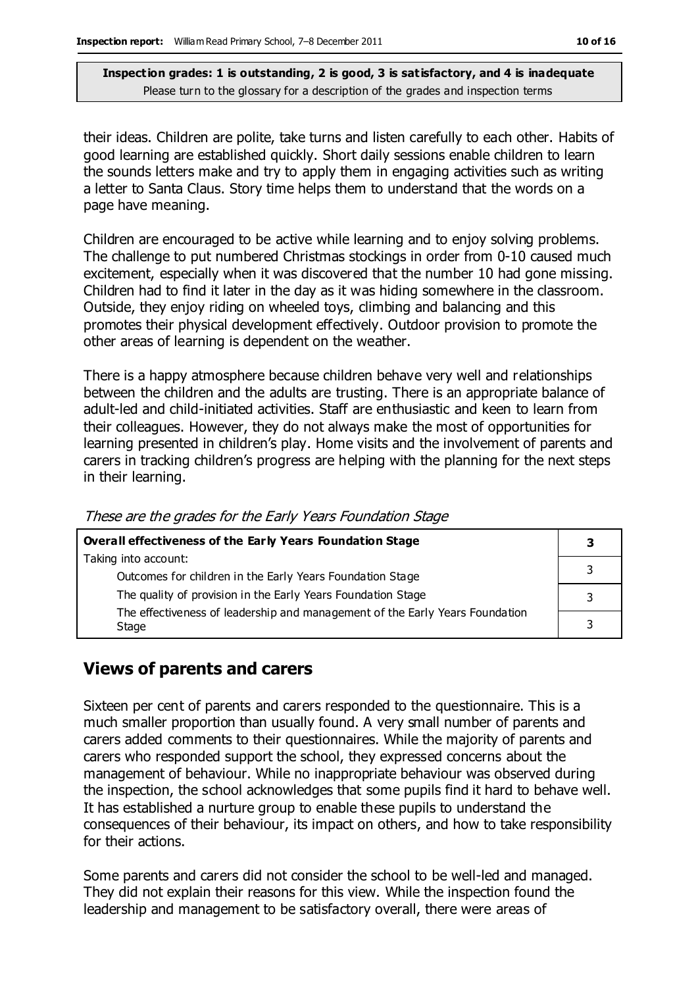their ideas. Children are polite, take turns and listen carefully to each other. Habits of good learning are established quickly. Short daily sessions enable children to learn the sounds letters make and try to apply them in engaging activities such as writing a letter to Santa Claus. Story time helps them to understand that the words on a page have meaning.

Children are encouraged to be active while learning and to enjoy solving problems. The challenge to put numbered Christmas stockings in order from 0-10 caused much excitement, especially when it was discovered that the number 10 had gone missing. Children had to find it later in the day as it was hiding somewhere in the classroom. Outside, they enjoy riding on wheeled toys, climbing and balancing and this promotes their physical development effectively. Outdoor provision to promote the other areas of learning is dependent on the weather.

There is a happy atmosphere because children behave very well and relationships between the children and the adults are trusting. There is an appropriate balance of adult-led and child-initiated activities. Staff are enthusiastic and keen to learn from their colleagues. However, they do not always make the most of opportunities for learning presented in children's play. Home visits and the involvement of parents and carers in tracking children's progress are helping with the planning for the next steps in their learning.

| Overall effectiveness of the Early Years Foundation Stage                             |  |
|---------------------------------------------------------------------------------------|--|
| Taking into account:                                                                  |  |
| Outcomes for children in the Early Years Foundation Stage                             |  |
| The quality of provision in the Early Years Foundation Stage                          |  |
| The effectiveness of leadership and management of the Early Years Foundation<br>Stage |  |

These are the grades for the Early Years Foundation Stage

### **Views of parents and carers**

Sixteen per cent of parents and carers responded to the questionnaire. This is a much smaller proportion than usually found. A very small number of parents and carers added comments to their questionnaires. While the majority of parents and carers who responded support the school, they expressed concerns about the management of behaviour. While no inappropriate behaviour was observed during the inspection, the school acknowledges that some pupils find it hard to behave well. It has established a nurture group to enable these pupils to understand the consequences of their behaviour, its impact on others, and how to take responsibility for their actions.

Some parents and carers did not consider the school to be well-led and managed. They did not explain their reasons for this view. While the inspection found the leadership and management to be satisfactory overall, there were areas of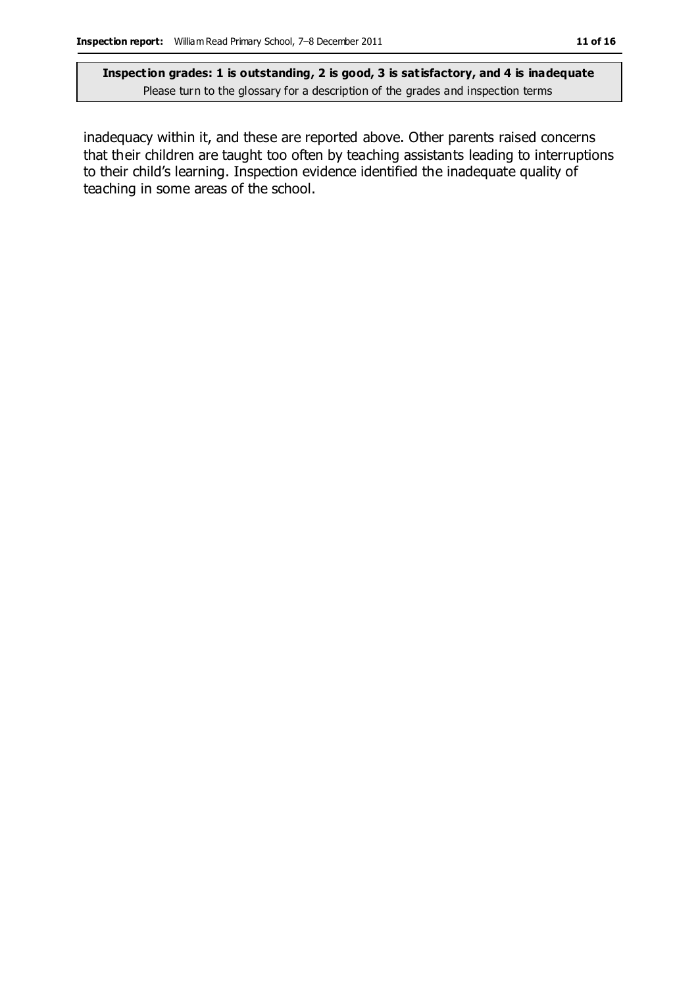inadequacy within it, and these are reported above. Other parents raised concerns that their children are taught too often by teaching assistants leading to interruptions to their child's learning. Inspection evidence identified the inadequate quality of teaching in some areas of the school.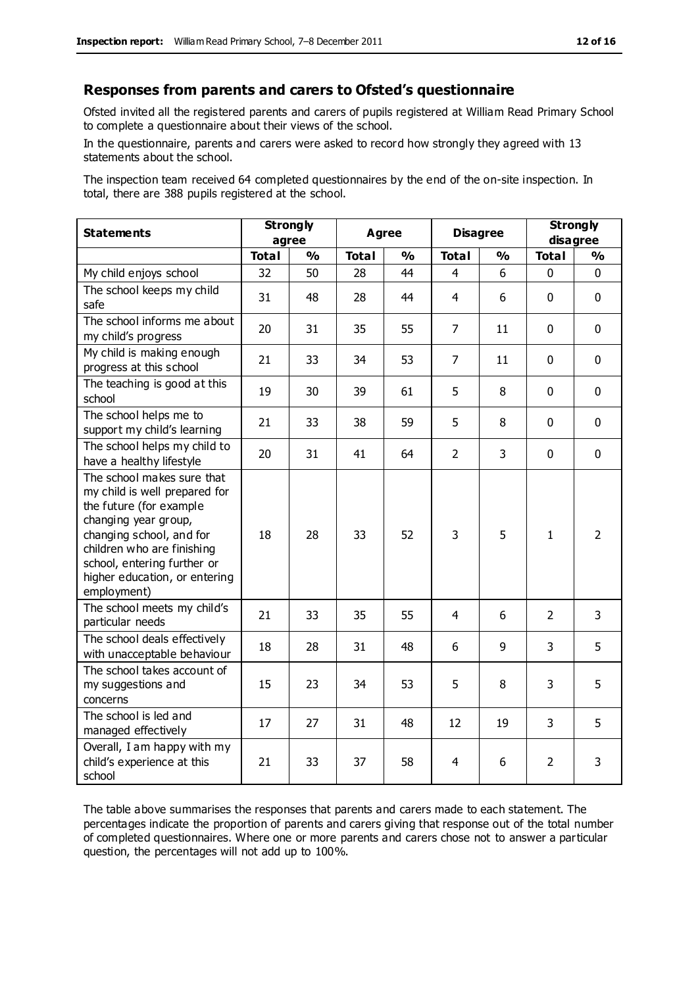#### **Responses from parents and carers to Ofsted's questionnaire**

Ofsted invited all the registered parents and carers of pupils registered at William Read Primary School to complete a questionnaire about their views of the school.

In the questionnaire, parents and carers were asked to record how strongly they agreed with 13 statements about the school.

The inspection team received 64 completed questionnaires by the end of the on-site inspection. In total, there are 388 pupils registered at the school.

| <b>Statements</b>                                                                                                                                                                                                                                       | <b>Strongly</b><br>agree |               | <b>Agree</b><br><b>Disagree</b> |               |                | <b>Strongly</b><br>disagree |                |                |
|---------------------------------------------------------------------------------------------------------------------------------------------------------------------------------------------------------------------------------------------------------|--------------------------|---------------|---------------------------------|---------------|----------------|-----------------------------|----------------|----------------|
|                                                                                                                                                                                                                                                         | <b>Total</b>             | $\frac{1}{2}$ | <b>Total</b>                    | $\frac{1}{2}$ | <b>Total</b>   | $\frac{1}{2}$               | <b>Total</b>   | $\frac{1}{2}$  |
| My child enjoys school                                                                                                                                                                                                                                  | 32                       | 50            | 28                              | 44            | 4              | 6                           | $\mathbf 0$    | $\mathbf 0$    |
| The school keeps my child<br>safe                                                                                                                                                                                                                       | 31                       | 48            | 28                              | 44            | 4              | 6                           | $\mathbf 0$    | $\mathbf 0$    |
| The school informs me about<br>my child's progress                                                                                                                                                                                                      | 20                       | 31            | 35                              | 55            | $\overline{7}$ | 11                          | $\mathbf 0$    | $\mathbf 0$    |
| My child is making enough<br>progress at this school                                                                                                                                                                                                    | 21                       | 33            | 34                              | 53            | $\overline{7}$ | 11                          | $\mathbf 0$    | $\mathbf 0$    |
| The teaching is good at this<br>school                                                                                                                                                                                                                  | 19                       | 30            | 39                              | 61            | 5              | 8                           | $\mathbf 0$    | $\mathbf 0$    |
| The school helps me to<br>support my child's learning                                                                                                                                                                                                   | 21                       | 33            | 38                              | 59            | 5              | 8                           | $\Omega$       | $\mathbf 0$    |
| The school helps my child to<br>have a healthy lifestyle                                                                                                                                                                                                | 20                       | 31            | 41                              | 64            | $\overline{2}$ | $\overline{3}$              | $\mathbf 0$    | $\mathbf 0$    |
| The school makes sure that<br>my child is well prepared for<br>the future (for example<br>changing year group,<br>changing school, and for<br>children who are finishing<br>school, entering further or<br>higher education, or entering<br>employment) | 18                       | 28            | 33                              | 52            | 3              | 5                           | $\mathbf{1}$   | $\overline{2}$ |
| The school meets my child's<br>particular needs                                                                                                                                                                                                         | 21                       | 33            | 35                              | 55            | $\overline{4}$ | 6                           | $\overline{2}$ | 3              |
| The school deals effectively<br>with unacceptable behaviour                                                                                                                                                                                             | 18                       | 28            | 31                              | 48            | 6              | 9                           | 3              | 5              |
| The school takes account of<br>my suggestions and<br>concerns                                                                                                                                                                                           | 15                       | 23            | 34                              | 53            | 5              | 8                           | 3              | 5              |
| The school is led and<br>managed effectively                                                                                                                                                                                                            | 17                       | 27            | 31                              | 48            | 12             | 19                          | 3              | 5              |
| Overall, I am happy with my<br>child's experience at this<br>school                                                                                                                                                                                     | 21                       | 33            | 37                              | 58            | 4              | 6                           | $\overline{2}$ | 3              |

The table above summarises the responses that parents and carers made to each statement. The percentages indicate the proportion of parents and carers giving that response out of the total number of completed questionnaires. Where one or more parents and carers chose not to answer a particular question, the percentages will not add up to 100%.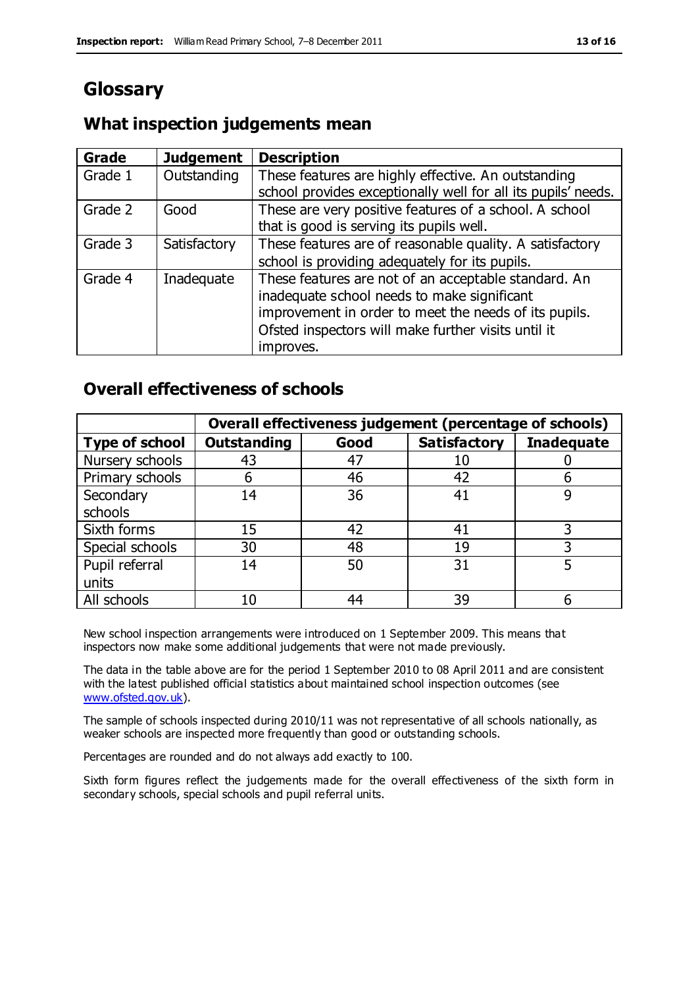# **Glossary**

#### **What inspection judgements mean**

| <b>Grade</b> | <b>Judgement</b> | <b>Description</b>                                                                                                                                                                                                               |
|--------------|------------------|----------------------------------------------------------------------------------------------------------------------------------------------------------------------------------------------------------------------------------|
| Grade 1      | Outstanding      | These features are highly effective. An outstanding<br>school provides exceptionally well for all its pupils' needs.                                                                                                             |
| Grade 2      | Good             | These are very positive features of a school. A school<br>that is good is serving its pupils well.                                                                                                                               |
| Grade 3      | Satisfactory     | These features are of reasonable quality. A satisfactory<br>school is providing adequately for its pupils.                                                                                                                       |
| Grade 4      | Inadequate       | These features are not of an acceptable standard. An<br>inadequate school needs to make significant<br>improvement in order to meet the needs of its pupils.<br>Ofsted inspectors will make further visits until it<br>improves. |

#### **Overall effectiveness of schools**

|                       |                    |      | Overall effectiveness judgement (percentage of schools) |                   |
|-----------------------|--------------------|------|---------------------------------------------------------|-------------------|
| <b>Type of school</b> | <b>Outstanding</b> | Good | <b>Satisfactory</b>                                     | <b>Inadequate</b> |
| Nursery schools       | 43                 | 47   | 10                                                      |                   |
| Primary schools       | h                  | 46   | 42                                                      |                   |
| Secondary             | 14                 | 36   | 41                                                      |                   |
| schools               |                    |      |                                                         |                   |
| Sixth forms           | 15                 | 42   | 41                                                      |                   |
| Special schools       | 30                 | 48   | 19                                                      |                   |
| Pupil referral        | 14                 | 50   | 31                                                      |                   |
| units                 |                    |      |                                                         |                   |
| All schools           | 10                 | 44   | 39                                                      |                   |

New school inspection arrangements were introduced on 1 September 2009. This means that inspectors now make some additional judgements that were not made previously.

The data in the table above are for the period 1 September 2010 to 08 April 2011 and are consistent with the latest published official statistics about maintained school inspection outcomes (see [www.ofsted.gov.uk\)](http://www.ofsted.gov.uk/).

The sample of schools inspected during 2010/11 was not representative of all schools nationally, as weaker schools are inspected more frequently than good or outstanding schools.

Percentages are rounded and do not always add exactly to 100.

Sixth form figures reflect the judgements made for the overall effectiveness of the sixth form in secondary schools, special schools and pupil referral units.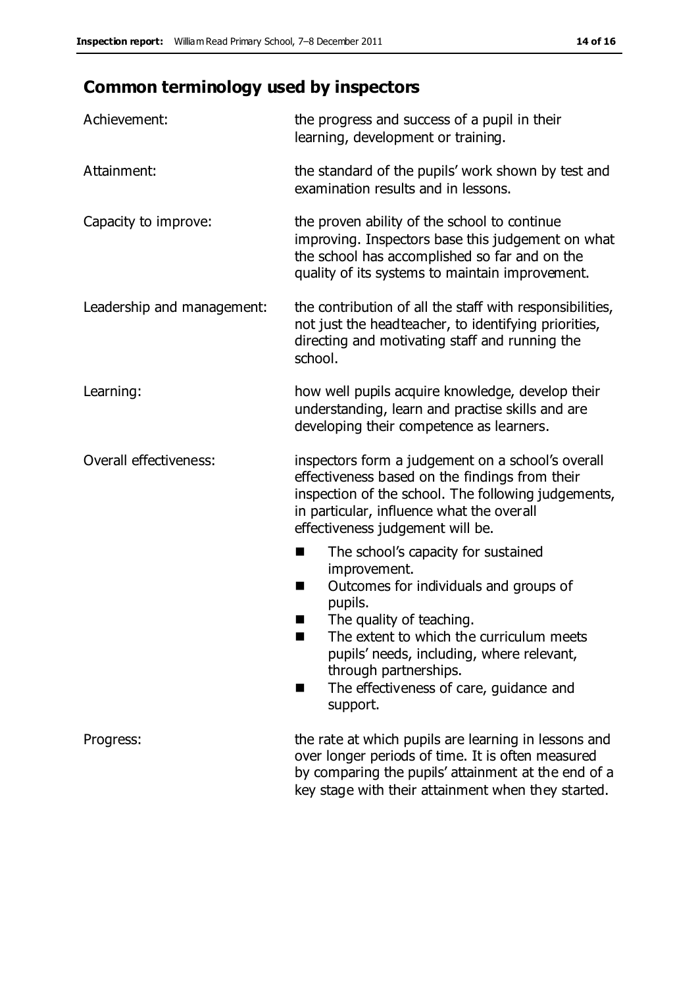# **Common terminology used by inspectors**

| Achievement:                  | the progress and success of a pupil in their<br>learning, development or training.                                                                                                                                                                                                                                           |
|-------------------------------|------------------------------------------------------------------------------------------------------------------------------------------------------------------------------------------------------------------------------------------------------------------------------------------------------------------------------|
| Attainment:                   | the standard of the pupils' work shown by test and<br>examination results and in lessons.                                                                                                                                                                                                                                    |
| Capacity to improve:          | the proven ability of the school to continue<br>improving. Inspectors base this judgement on what<br>the school has accomplished so far and on the<br>quality of its systems to maintain improvement.                                                                                                                        |
| Leadership and management:    | the contribution of all the staff with responsibilities,<br>not just the headteacher, to identifying priorities,<br>directing and motivating staff and running the<br>school.                                                                                                                                                |
| Learning:                     | how well pupils acquire knowledge, develop their<br>understanding, learn and practise skills and are<br>developing their competence as learners.                                                                                                                                                                             |
| <b>Overall effectiveness:</b> | inspectors form a judgement on a school's overall<br>effectiveness based on the findings from their<br>inspection of the school. The following judgements,<br>in particular, influence what the overall<br>effectiveness judgement will be.                                                                                  |
|                               | The school's capacity for sustained<br>×<br>improvement.<br>Outcomes for individuals and groups of<br>п<br>pupils.<br>The quality of teaching.<br>The extent to which the curriculum meets<br>pupils' needs, including, where relevant,<br>through partnerships.<br>The effectiveness of care, guidance and<br>■<br>support. |
| Progress:                     | the rate at which pupils are learning in lessons and<br>over longer periods of time. It is often measured<br>by comparing the pupils' attainment at the end of a<br>key stage with their attainment when they started.                                                                                                       |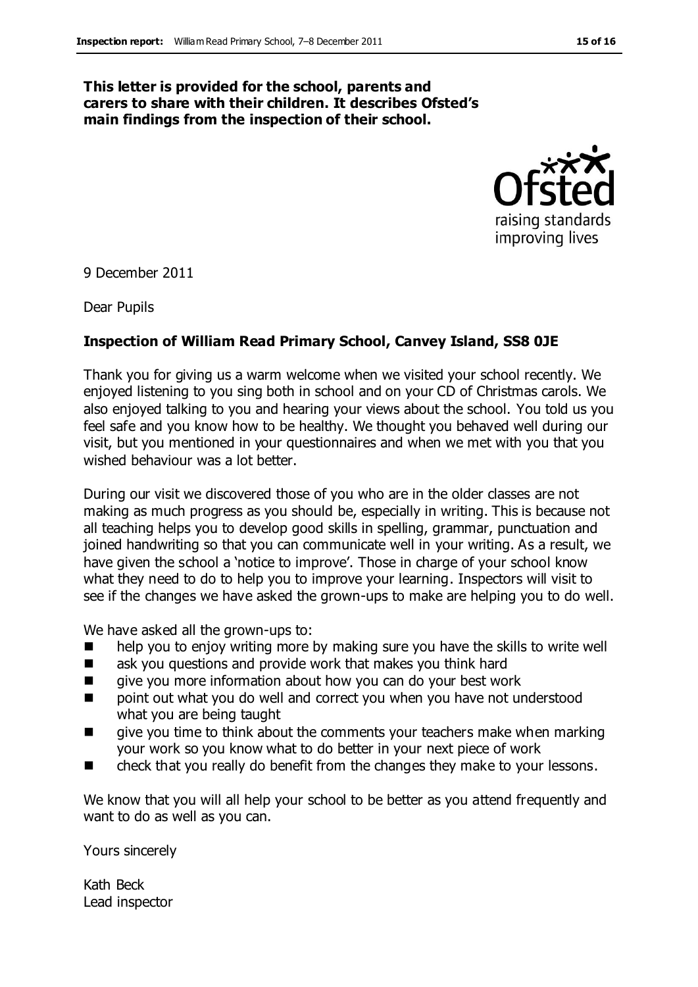#### **This letter is provided for the school, parents and carers to share with their children. It describes Ofsted's main findings from the inspection of their school.**



9 December 2011

Dear Pupils

#### **Inspection of William Read Primary School, Canvey Island, SS8 0JE**

Thank you for giving us a warm welcome when we visited your school recently. We enjoyed listening to you sing both in school and on your CD of Christmas carols. We also enjoyed talking to you and hearing your views about the school. You told us you feel safe and you know how to be healthy. We thought you behaved well during our visit, but you mentioned in your questionnaires and when we met with you that you wished behaviour was a lot better.

During our visit we discovered those of you who are in the older classes are not making as much progress as you should be, especially in writing. This is because not all teaching helps you to develop good skills in spelling, grammar, punctuation and joined handwriting so that you can communicate well in your writing. As a result, we have given the school a 'notice to improve'. Those in charge of your school know what they need to do to help you to improve your learning. Inspectors will visit to see if the changes we have asked the grown-ups to make are helping you to do well.

We have asked all the grown-ups to:

- $\blacksquare$  help you to enjoy writing more by making sure you have the skills to write well
- ask you questions and provide work that makes you think hard
- give you more information about how you can do your best work
- point out what you do well and correct you when you have not understood what you are being taught
- give you time to think about the comments your teachers make when marking your work so you know what to do better in your next piece of work
- check that you really do benefit from the changes they make to your lessons.

We know that you will all help your school to be better as you attend frequently and want to do as well as you can.

Yours sincerely

Kath Beck Lead inspector